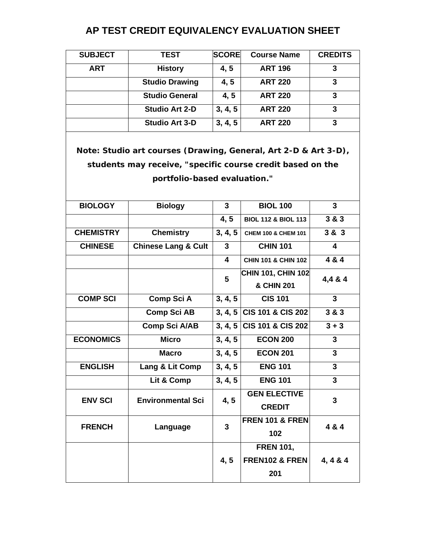## **AP TEST CREDIT EQUIVALENCY EVALUATION SHEET**

| <b>SUBJECT</b>                                                                                                                                                | <b>TEST</b>                    | <b>SCORE</b>            | <b>Course Name</b>                        | <b>CREDITS</b> |  |  |  |
|---------------------------------------------------------------------------------------------------------------------------------------------------------------|--------------------------------|-------------------------|-------------------------------------------|----------------|--|--|--|
| <b>ART</b>                                                                                                                                                    | <b>History</b>                 | 4, 5                    | <b>ART 196</b>                            | 3              |  |  |  |
|                                                                                                                                                               | <b>Studio Drawing</b>          | 4, 5                    | <b>ART 220</b>                            | 3              |  |  |  |
|                                                                                                                                                               | <b>Studio General</b>          | 4, 5                    | <b>ART 220</b>                            | 3              |  |  |  |
|                                                                                                                                                               | <b>Studio Art 2-D</b>          | 3, 4, 5                 | <b>ART 220</b>                            | 3              |  |  |  |
|                                                                                                                                                               | <b>Studio Art 3-D</b>          | 3, 4, 5                 | <b>ART 220</b>                            | 3              |  |  |  |
| Note: Studio art courses (Drawing, General, Art 2-D & Art 3-D),<br>students may receive, "specific course credit based on the<br>portfolio-based evaluation." |                                |                         |                                           |                |  |  |  |
|                                                                                                                                                               |                                |                         |                                           |                |  |  |  |
| <b>BIOLOGY</b>                                                                                                                                                | <b>Biology</b>                 | $\mathbf{3}$            | <b>BIOL 100</b>                           | 3              |  |  |  |
|                                                                                                                                                               |                                | 4, 5                    | <b>BIOL 112 &amp; BIOL 113</b>            | 3 & 3          |  |  |  |
| <b>CHEMISTRY</b>                                                                                                                                              | <b>Chemistry</b>               | 3, 4, 5                 | CHEM 100 & CHEM 101                       | 3 & 3          |  |  |  |
| <b>CHINESE</b>                                                                                                                                                | <b>Chinese Lang &amp; Cult</b> | $\mathbf{3}$            | <b>CHIN 101</b>                           | 4              |  |  |  |
|                                                                                                                                                               |                                | $\overline{\mathbf{A}}$ | <b>CHIN 101 &amp; CHIN 102</b>            | 4 & 4          |  |  |  |
|                                                                                                                                                               |                                | 5                       | CHIN 101, CHIN 102<br>& CHIN 201          | 4,4 & 4        |  |  |  |
| <b>COMP SCI</b>                                                                                                                                               | Comp Sci A                     | 3, 4, 5                 | <b>CIS 101</b>                            | $\mathbf{3}$   |  |  |  |
|                                                                                                                                                               | <b>Comp Sci AB</b>             |                         | 3, 4, 5 CIS 101 & CIS 202                 | 3 & 3          |  |  |  |
|                                                                                                                                                               | <b>Comp Sci A/AB</b>           |                         | 3, 4, 5 CIS 101 & CIS 202                 | $3 + 3$        |  |  |  |
| <b>ECONOMICS</b>                                                                                                                                              | <b>Micro</b>                   | 3, 4, 5                 | <b>ECON 200</b>                           | 3              |  |  |  |
|                                                                                                                                                               | <b>Macro</b>                   | 3, 4, 5                 | <b>ECON 201</b>                           | $\mathbf{3}$   |  |  |  |
| <b>ENGLISH</b>                                                                                                                                                | Lang & Lit Comp                | 3, 4, 5                 | <b>ENG 101</b>                            | 3              |  |  |  |
|                                                                                                                                                               | Lit & Comp                     | 3, 4, 5                 | <b>ENG 101</b>                            | 3              |  |  |  |
| <b>ENV SCI</b>                                                                                                                                                | <b>Environmental Sci</b>       | 4, 5                    | <b>GEN ELECTIVE</b><br><b>CREDIT</b>      | 3              |  |  |  |
| <b>FRENCH</b>                                                                                                                                                 | Language                       | $\mathbf{3}$            | <b>FREN 101 &amp; FREN</b><br>102         | 4 & 4          |  |  |  |
|                                                                                                                                                               |                                | 4, 5                    | <b>FREN 101,</b><br>FREN102 & FREN<br>201 | 4, 4 & 4       |  |  |  |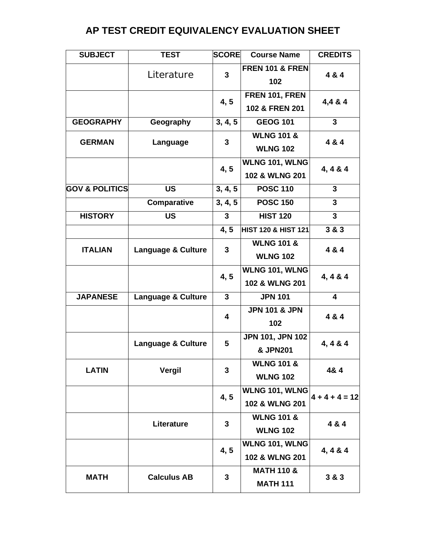## **AP TEST CREDIT EQUIVALENCY EVALUATION SHEET**

| <b>SUBJECT</b>            | <b>TEST</b>                   | <b>SCORE</b>            | <b>Course Name</b>                       | <b>CREDITS</b>   |
|---------------------------|-------------------------------|-------------------------|------------------------------------------|------------------|
|                           | Literature                    | $\overline{3}$          | <b>FREN 101 &amp; FREN</b><br>102        | 4 & 4            |
|                           |                               | 4, 5                    | FREN 101, FREN<br>102 & FREN 201         | 4,4 & 4          |
| <b>GEOGRAPHY</b>          | Geography                     | 3, 4, 5                 | <b>GEOG 101</b>                          | 3                |
| <b>GERMAN</b>             | Language                      | 3                       | <b>WLNG 101 &amp;</b><br><b>WLNG 102</b> | 4 & 4            |
|                           |                               | 4, 5                    | WLNG 101, WLNG<br>102 & WLNG 201         | 4, 4 & 4         |
| <b>GOV &amp; POLITICS</b> | <b>US</b>                     | 3, 4, 5                 | <b>POSC 110</b>                          | $\overline{3}$   |
|                           | Comparative                   | 3, 4, 5                 | <b>POSC 150</b>                          | 3                |
| <b>HISTORY</b>            | <b>US</b>                     | $\mathbf{3}$            | <b>HIST 120</b>                          | 3                |
|                           |                               | 4, 5                    | <b>HIST 120 &amp; HIST 121</b>           | 3 & 3            |
| <b>ITALIAN</b>            | <b>Language &amp; Culture</b> | $\mathbf{3}$            | <b>WLNG 101 &amp;</b><br><b>WLNG 102</b> | 4 & 4            |
|                           |                               | 4, 5                    | WLNG 101, WLNG<br>102 & WLNG 201         | 4, 4 & 4         |
| <b>JAPANESE</b>           | <b>Language &amp; Culture</b> | $\mathbf{3}$            | <b>JPN 101</b>                           | 4                |
|                           |                               | $\overline{\mathbf{4}}$ | <b>JPN 101 &amp; JPN</b><br>102          | 4 & 4            |
|                           | <b>Language &amp; Culture</b> | 5                       | JPN 101, JPN 102<br><b>&amp; JPN201</b>  | 4, 4 & 4         |
| <b>LATIN</b>              | Vergil                        | 3                       | <b>WLNG 101 &amp;</b><br><b>WLNG 102</b> | 4& 4             |
|                           |                               | 4, 5                    | <b>WLNG 101, WLNG</b><br>102 & WLNG 201  | $4 + 4 + 4 = 12$ |
|                           | Literature                    | $\mathbf{3}$            | <b>WLNG 101 &amp;</b><br><b>WLNG 102</b> | 4 & 4            |
|                           |                               | 4, 5                    | WLNG 101, WLNG<br>102 & WLNG 201         | 4, 4 & 4         |
| <b>MATH</b>               | <b>Calculus AB</b>            | $\mathbf{3}$            | <b>MATH 110 &amp;</b><br><b>MATH 111</b> | 3 & 3            |